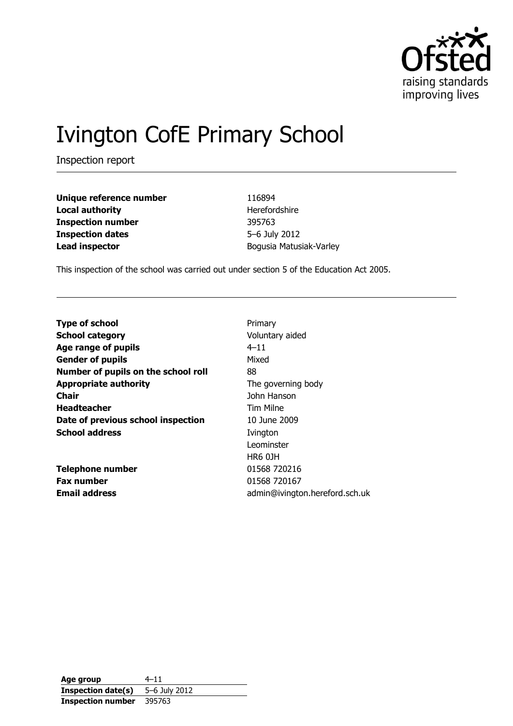

# Ivington CofE Primary School

Inspection report

| Unique reference number  |
|--------------------------|
| <b>Local authority</b>   |
| <b>Inspection number</b> |
| <b>Inspection dates</b>  |
| <b>Lead inspector</b>    |

**Unique reference number** 116894 **Herefordshire Inspection number** 395763 **Inspection dates** 5–6 July 2012 **Lead inspector** Bogusia Matusiak-Varley

This inspection of the school was carried out under section 5 of the Education Act 2005.

| <b>Type of school</b>               | Primary                        |
|-------------------------------------|--------------------------------|
| <b>School category</b>              | Voluntary aided                |
| Age range of pupils                 | $4 - 11$                       |
| <b>Gender of pupils</b>             | Mixed                          |
| Number of pupils on the school roll | 88                             |
| <b>Appropriate authority</b>        | The governing body             |
| Chair                               | John Hanson                    |
| <b>Headteacher</b>                  | Tim Milne                      |
| Date of previous school inspection  | 10 June 2009                   |
| <b>School address</b>               | Ivington                       |
|                                     | Leominster                     |
|                                     | <b>HR6 0JH</b>                 |
| <b>Telephone number</b>             | 01568 720216                   |
| <b>Fax number</b>                   | 01568 720167                   |
| <b>Email address</b>                | admin@ivington.hereford.sch.uk |

**Age group** 4–11 **Inspection date(s)** 5–6 July 2012 **Inspection number** 395763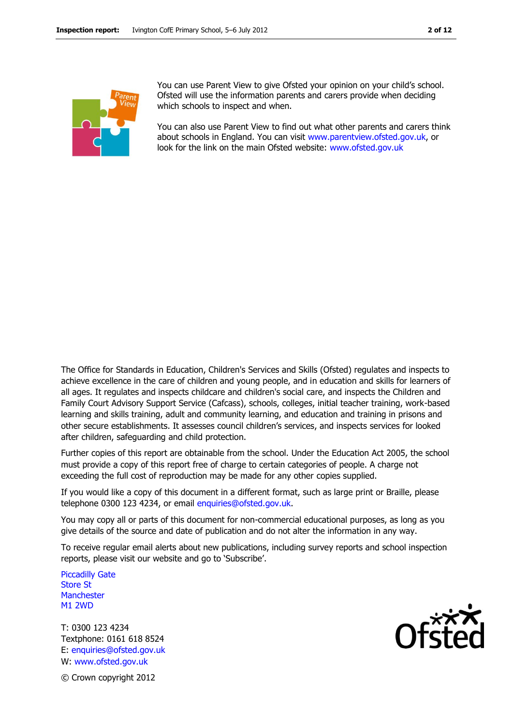

You can use Parent View to give Ofsted your opinion on your child's school. Ofsted will use the information parents and carers provide when deciding which schools to inspect and when.

You can also use Parent View to find out what other parents and carers think about schools in England. You can visit [www.parentview.ofsted.gov.uk,](http://www.parentview.ofsted.gov.uk/) or look for the link on the main Ofsted website: [www.ofsted.gov.uk](http://www.ofsted.gov.uk/)

The Office for Standards in Education, Children's Services and Skills (Ofsted) regulates and inspects to achieve excellence in the care of children and young people, and in education and skills for learners of all ages. It regulates and inspects childcare and children's social care, and inspects the Children and Family Court Advisory Support Service (Cafcass), schools, colleges, initial teacher training, work-based learning and skills training, adult and community learning, and education and training in prisons and other secure establishments. It assesses council children's services, and inspects services for looked after children, safeguarding and child protection.

Further copies of this report are obtainable from the school. Under the Education Act 2005, the school must provide a copy of this report free of charge to certain categories of people. A charge not exceeding the full cost of reproduction may be made for any other copies supplied.

If you would like a copy of this document in a different format, such as large print or Braille, please telephone 0300 123 4234, or email enquiries@ofsted.gov.uk.

You may copy all or parts of this document for non-commercial educational purposes, as long as you give details of the source and date of publication and do not alter the information in any way.

To receive regular email alerts about new publications, including survey reports and school inspection reports, please visit our website and go to 'Subscribe'.

Piccadilly Gate Store St **Manchester** M1 2WD

T: 0300 123 4234 Textphone: 0161 618 8524 E: enquiries@ofsted.gov.uk W: www.ofsted.gov.uk



© Crown copyright 2012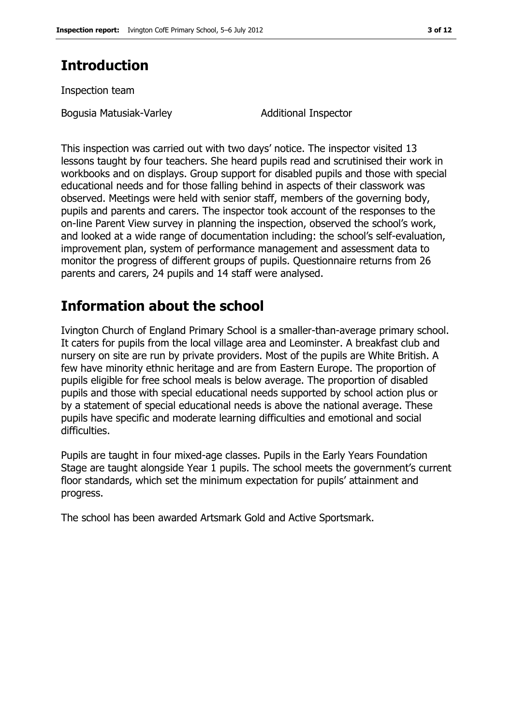# **Introduction**

Inspection team

Bogusia Matusiak-Varley Matusiak-Varley Additional Inspector

This inspection was carried out with two days' notice. The inspector visited 13 lessons taught by four teachers. She heard pupils read and scrutinised their work in workbooks and on displays. Group support for disabled pupils and those with special educational needs and for those falling behind in aspects of their classwork was observed. Meetings were held with senior staff, members of the governing body, pupils and parents and carers. The inspector took account of the responses to the on-line Parent View survey in planning the inspection, observed the school's work, and looked at a wide range of documentation including: the school's self-evaluation, improvement plan, system of performance management and assessment data to monitor the progress of different groups of pupils. Questionnaire returns from 26 parents and carers, 24 pupils and 14 staff were analysed.

## **Information about the school**

Ivington Church of England Primary School is a smaller-than-average primary school. It caters for pupils from the local village area and Leominster. A breakfast club and nursery on site are run by private providers. Most of the pupils are White British. A few have minority ethnic heritage and are from Eastern Europe. The proportion of pupils eligible for free school meals is below average. The proportion of disabled pupils and those with special educational needs supported by school action plus or by a statement of special educational needs is above the national average. These pupils have specific and moderate learning difficulties and emotional and social difficulties.

Pupils are taught in four mixed-age classes. Pupils in the Early Years Foundation Stage are taught alongside Year 1 pupils. The school meets the government's current floor standards, which set the minimum expectation for pupils' attainment and progress.

The school has been awarded Artsmark Gold and Active Sportsmark.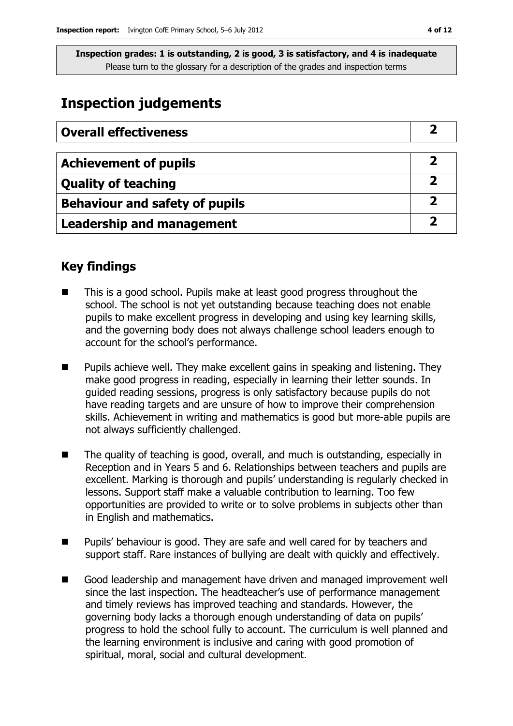# **Inspection judgements**

| <b>Overall effectiveness</b>          |  |
|---------------------------------------|--|
|                                       |  |
| <b>Achievement of pupils</b>          |  |
| <b>Quality of teaching</b>            |  |
| <b>Behaviour and safety of pupils</b> |  |
| <b>Leadership and management</b>      |  |

### **Key findings**

- This is a good school. Pupils make at least good progress throughout the school. The school is not yet outstanding because teaching does not enable pupils to make excellent progress in developing and using key learning skills, and the governing body does not always challenge school leaders enough to account for the school's performance.
- $\blacksquare$  Pupils achieve well. They make excellent gains in speaking and listening. They make good progress in reading, especially in learning their letter sounds. In guided reading sessions, progress is only satisfactory because pupils do not have reading targets and are unsure of how to improve their comprehension skills. Achievement in writing and mathematics is good but more-able pupils are not always sufficiently challenged.
- The quality of teaching is good, overall, and much is outstanding, especially in Reception and in Years 5 and 6. Relationships between teachers and pupils are excellent. Marking is thorough and pupils' understanding is regularly checked in lessons. Support staff make a valuable contribution to learning. Too few opportunities are provided to write or to solve problems in subjects other than in English and mathematics.
- Pupils' behaviour is good. They are safe and well cared for by teachers and support staff. Rare instances of bullying are dealt with quickly and effectively.
- Good leadership and management have driven and managed improvement well since the last inspection. The headteacher's use of performance management and timely reviews has improved teaching and standards. However, the governing body lacks a thorough enough understanding of data on pupils' progress to hold the school fully to account. The curriculum is well planned and the learning environment is inclusive and caring with good promotion of spiritual, moral, social and cultural development.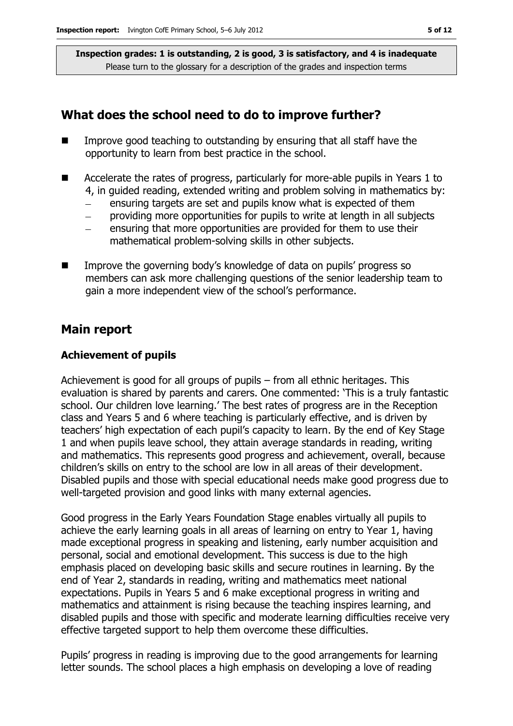#### **What does the school need to do to improve further?**

- $\blacksquare$  Improve good teaching to outstanding by ensuring that all staff have the opportunity to learn from best practice in the school.
- Accelerate the rates of progress, particularly for more-able pupils in Years 1 to 4, in guided reading, extended writing and problem solving in mathematics by:
	- ensuring targets are set and pupils know what is expected of them
	- providing more opportunities for pupils to write at length in all subjects
	- ensuring that more opportunities are provided for them to use their mathematical problem-solving skills in other subjects.
- Improve the governing body's knowledge of data on pupils' progress so members can ask more challenging questions of the senior leadership team to gain a more independent view of the school's performance.

### **Main report**

#### **Achievement of pupils**

Achievement is good for all groups of pupils – from all ethnic heritages. This evaluation is shared by parents and carers. One commented: 'This is a truly fantastic school. Our children love learning.' The best rates of progress are in the Reception class and Years 5 and 6 where teaching is particularly effective, and is driven by teachers' high expectation of each pupil's capacity to learn. By the end of Key Stage 1 and when pupils leave school, they attain average standards in reading, writing and mathematics. This represents good progress and achievement, overall, because children's skills on entry to the school are low in all areas of their development. Disabled pupils and those with special educational needs make good progress due to well-targeted provision and good links with many external agencies.

Good progress in the Early Years Foundation Stage enables virtually all pupils to achieve the early learning goals in all areas of learning on entry to Year 1, having made exceptional progress in speaking and listening, early number acquisition and personal, social and emotional development. This success is due to the high emphasis placed on developing basic skills and secure routines in learning. By the end of Year 2, standards in reading, writing and mathematics meet national expectations. Pupils in Years 5 and 6 make exceptional progress in writing and mathematics and attainment is rising because the teaching inspires learning, and disabled pupils and those with specific and moderate learning difficulties receive very effective targeted support to help them overcome these difficulties.

Pupils' progress in reading is improving due to the good arrangements for learning letter sounds. The school places a high emphasis on developing a love of reading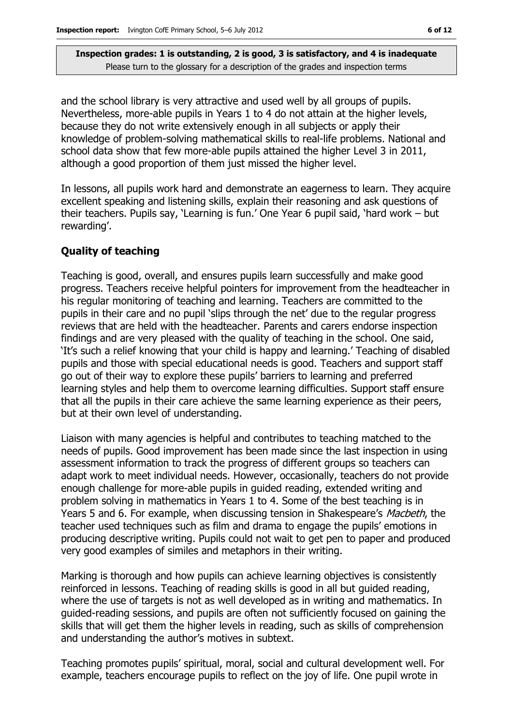and the school library is very attractive and used well by all groups of pupils. Nevertheless, more-able pupils in Years 1 to 4 do not attain at the higher levels, because they do not write extensively enough in all subjects or apply their knowledge of problem-solving mathematical skills to real-life problems. National and school data show that few more-able pupils attained the higher Level 3 in 2011, although a good proportion of them just missed the higher level.

In lessons, all pupils work hard and demonstrate an eagerness to learn. They acquire excellent speaking and listening skills, explain their reasoning and ask questions of their teachers. Pupils say, 'Learning is fun.' One Year 6 pupil said, 'hard work – but rewarding'.

#### **Quality of teaching**

Teaching is good, overall, and ensures pupils learn successfully and make good progress. Teachers receive helpful pointers for improvement from the headteacher in his regular monitoring of teaching and learning. Teachers are committed to the pupils in their care and no pupil 'slips through the net' due to the regular progress reviews that are held with the headteacher. Parents and carers endorse inspection findings and are very pleased with the quality of teaching in the school. One said, 'It's such a relief knowing that your child is happy and learning.' Teaching of disabled pupils and those with special educational needs is good. Teachers and support staff go out of their way to explore these pupils' barriers to learning and preferred learning styles and help them to overcome learning difficulties. Support staff ensure that all the pupils in their care achieve the same learning experience as their peers, but at their own level of understanding.

Liaison with many agencies is helpful and contributes to teaching matched to the needs of pupils. Good improvement has been made since the last inspection in using assessment information to track the progress of different groups so teachers can adapt work to meet individual needs. However, occasionally, teachers do not provide enough challenge for more-able pupils in guided reading, extended writing and problem solving in mathematics in Years 1 to 4. Some of the best teaching is in Years 5 and 6. For example, when discussing tension in Shakespeare's Macbeth, the teacher used techniques such as film and drama to engage the pupils' emotions in producing descriptive writing. Pupils could not wait to get pen to paper and produced very good examples of similes and metaphors in their writing.

Marking is thorough and how pupils can achieve learning objectives is consistently reinforced in lessons. Teaching of reading skills is good in all but guided reading, where the use of targets is not as well developed as in writing and mathematics. In guided-reading sessions, and pupils are often not sufficiently focused on gaining the skills that will get them the higher levels in reading, such as skills of comprehension and understanding the author's motives in subtext.

Teaching promotes pupils' spiritual, moral, social and cultural development well. For example, teachers encourage pupils to reflect on the joy of life. One pupil wrote in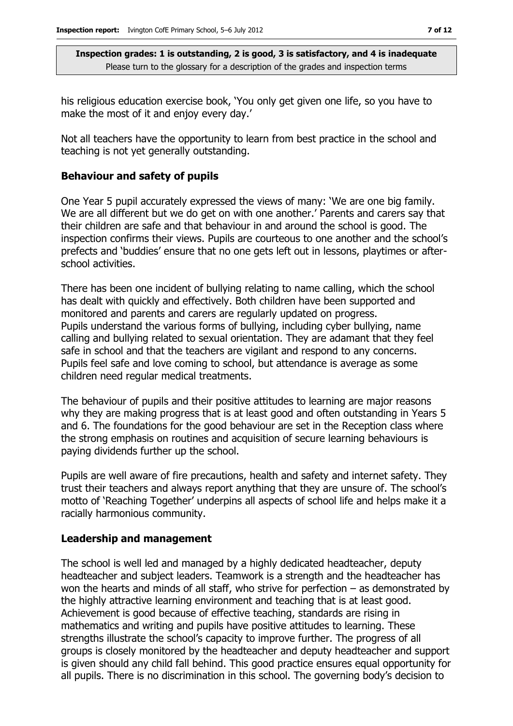his religious education exercise book, 'You only get given one life, so you have to make the most of it and enjoy every day.'

Not all teachers have the opportunity to learn from best practice in the school and teaching is not yet generally outstanding.

#### **Behaviour and safety of pupils**

One Year 5 pupil accurately expressed the views of many: 'We are one big family. We are all different but we do get on with one another.' Parents and carers say that their children are safe and that behaviour in and around the school is good. The inspection confirms their views. Pupils are courteous to one another and the school's prefects and 'buddies' ensure that no one gets left out in lessons, playtimes or afterschool activities.

There has been one incident of bullying relating to name calling, which the school has dealt with quickly and effectively. Both children have been supported and monitored and parents and carers are regularly updated on progress. Pupils understand the various forms of bullying, including cyber bullying, name calling and bullying related to sexual orientation. They are adamant that they feel safe in school and that the teachers are vigilant and respond to any concerns. Pupils feel safe and love coming to school, but attendance is average as some children need regular medical treatments.

The behaviour of pupils and their positive attitudes to learning are major reasons why they are making progress that is at least good and often outstanding in Years 5 and 6. The foundations for the good behaviour are set in the Reception class where the strong emphasis on routines and acquisition of secure learning behaviours is paying dividends further up the school.

Pupils are well aware of fire precautions, health and safety and internet safety. They trust their teachers and always report anything that they are unsure of. The school's motto of 'Reaching Together' underpins all aspects of school life and helps make it a racially harmonious community.

#### **Leadership and management**

The school is well led and managed by a highly dedicated headteacher, deputy headteacher and subject leaders. Teamwork is a strength and the headteacher has won the hearts and minds of all staff, who strive for perfection – as demonstrated by the highly attractive learning environment and teaching that is at least good. Achievement is good because of effective teaching, standards are rising in mathematics and writing and pupils have positive attitudes to learning. These strengths illustrate the school's capacity to improve further. The progress of all groups is closely monitored by the headteacher and deputy headteacher and support is given should any child fall behind. This good practice ensures equal opportunity for all pupils. There is no discrimination in this school. The governing body's decision to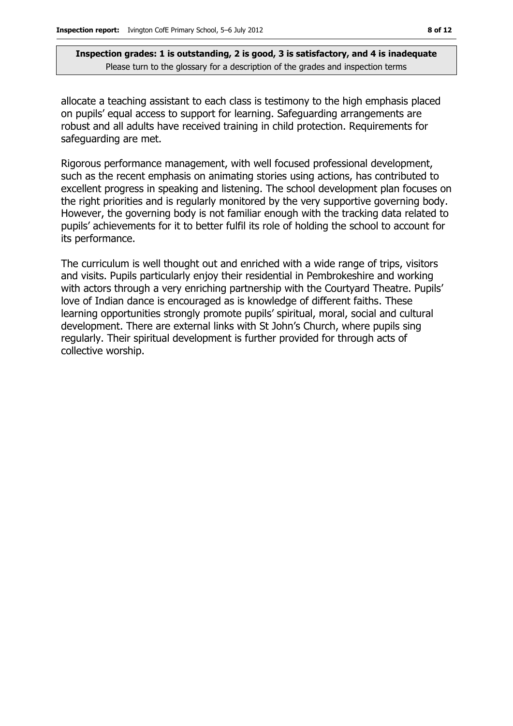allocate a teaching assistant to each class is testimony to the high emphasis placed on pupils' equal access to support for learning. Safeguarding arrangements are robust and all adults have received training in child protection. Requirements for safeguarding are met.

Rigorous performance management, with well focused professional development, such as the recent emphasis on animating stories using actions, has contributed to excellent progress in speaking and listening. The school development plan focuses on the right priorities and is regularly monitored by the very supportive governing body. However, the governing body is not familiar enough with the tracking data related to pupils' achievements for it to better fulfil its role of holding the school to account for its performance.

The curriculum is well thought out and enriched with a wide range of trips, visitors and visits. Pupils particularly enjoy their residential in Pembrokeshire and working with actors through a very enriching partnership with the Courtyard Theatre. Pupils' love of Indian dance is encouraged as is knowledge of different faiths. These learning opportunities strongly promote pupils' spiritual, moral, social and cultural development. There are external links with St John's Church, where pupils sing regularly. Their spiritual development is further provided for through acts of collective worship.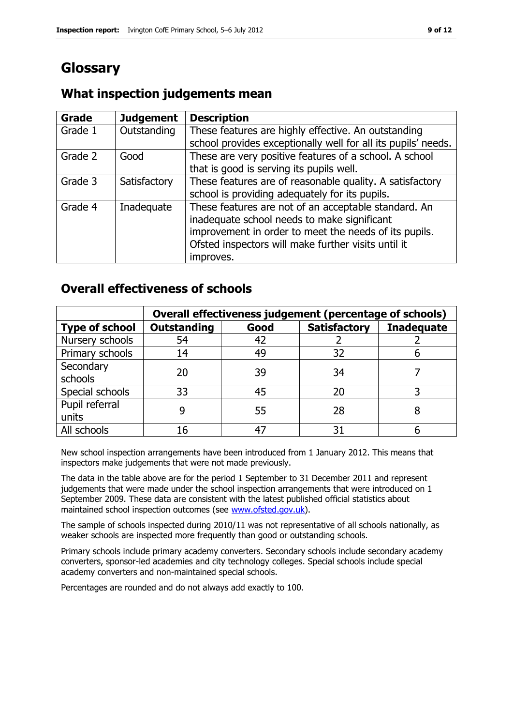# **Glossary**

### **What inspection judgements mean**

| <b>Grade</b> | <b>Judgement</b> | <b>Description</b>                                            |
|--------------|------------------|---------------------------------------------------------------|
| Grade 1      | Outstanding      | These features are highly effective. An outstanding           |
|              |                  | school provides exceptionally well for all its pupils' needs. |
| Grade 2      | Good             | These are very positive features of a school. A school        |
|              |                  | that is good is serving its pupils well.                      |
| Grade 3      | Satisfactory     | These features are of reasonable quality. A satisfactory      |
|              |                  | school is providing adequately for its pupils.                |
| Grade 4      | Inadequate       | These features are not of an acceptable standard. An          |
|              |                  | inadequate school needs to make significant                   |
|              |                  | improvement in order to meet the needs of its pupils.         |
|              |                  | Ofsted inspectors will make further visits until it           |
|              |                  | improves.                                                     |

### **Overall effectiveness of schools**

|                         | Overall effectiveness judgement (percentage of schools) |      |                     |                   |
|-------------------------|---------------------------------------------------------|------|---------------------|-------------------|
| <b>Type of school</b>   | <b>Outstanding</b>                                      | Good | <b>Satisfactory</b> | <b>Inadequate</b> |
| Nursery schools         | 54                                                      | 42   |                     |                   |
| Primary schools         | 14                                                      | 49   | 32                  |                   |
| Secondary<br>schools    | 20                                                      | 39   | 34                  |                   |
| Special schools         | 33                                                      | 45   | 20                  |                   |
| Pupil referral<br>units |                                                         | 55   | 28                  |                   |
| All schools             | 16                                                      |      | 31                  |                   |

New school inspection arrangements have been introduced from 1 January 2012. This means that inspectors make judgements that were not made previously.

The data in the table above are for the period 1 September to 31 December 2011 and represent judgements that were made under the school inspection arrangements that were introduced on 1 September 2009. These data are consistent with the latest published official statistics about maintained school inspection outcomes (see [www.ofsted.gov.uk\)](http://www.ofsted.gov.uk/).

The sample of schools inspected during 2010/11 was not representative of all schools nationally, as weaker schools are inspected more frequently than good or outstanding schools.

Primary schools include primary academy converters. Secondary schools include secondary academy converters, sponsor-led academies and city technology colleges. Special schools include special academy converters and non-maintained special schools.

Percentages are rounded and do not always add exactly to 100.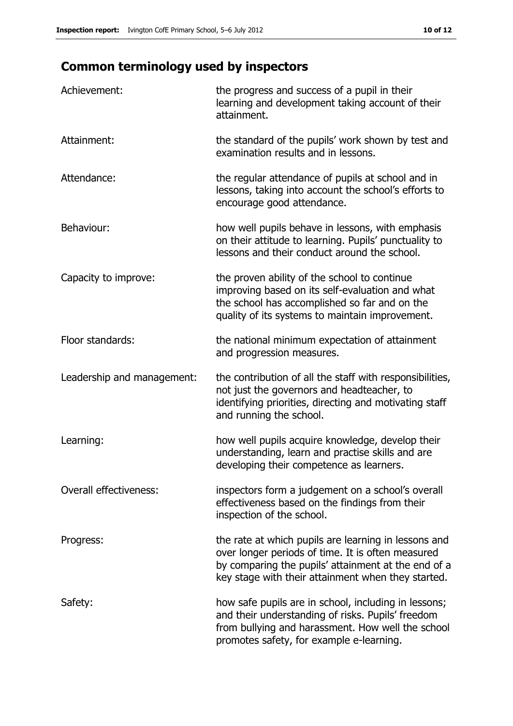# **Common terminology used by inspectors**

| Achievement:                  | the progress and success of a pupil in their<br>learning and development taking account of their<br>attainment.                                                                                                        |
|-------------------------------|------------------------------------------------------------------------------------------------------------------------------------------------------------------------------------------------------------------------|
| Attainment:                   | the standard of the pupils' work shown by test and<br>examination results and in lessons.                                                                                                                              |
| Attendance:                   | the regular attendance of pupils at school and in<br>lessons, taking into account the school's efforts to<br>encourage good attendance.                                                                                |
| Behaviour:                    | how well pupils behave in lessons, with emphasis<br>on their attitude to learning. Pupils' punctuality to<br>lessons and their conduct around the school.                                                              |
| Capacity to improve:          | the proven ability of the school to continue<br>improving based on its self-evaluation and what<br>the school has accomplished so far and on the<br>quality of its systems to maintain improvement.                    |
| Floor standards:              | the national minimum expectation of attainment<br>and progression measures.                                                                                                                                            |
| Leadership and management:    | the contribution of all the staff with responsibilities,<br>not just the governors and headteacher, to<br>identifying priorities, directing and motivating staff<br>and running the school.                            |
| Learning:                     | how well pupils acquire knowledge, develop their<br>understanding, learn and practise skills and are<br>developing their competence as learners.                                                                       |
| <b>Overall effectiveness:</b> | inspectors form a judgement on a school's overall<br>effectiveness based on the findings from their<br>inspection of the school.                                                                                       |
| Progress:                     | the rate at which pupils are learning in lessons and<br>over longer periods of time. It is often measured<br>by comparing the pupils' attainment at the end of a<br>key stage with their attainment when they started. |
| Safety:                       | how safe pupils are in school, including in lessons;<br>and their understanding of risks. Pupils' freedom<br>from bullying and harassment. How well the school<br>promotes safety, for example e-learning.             |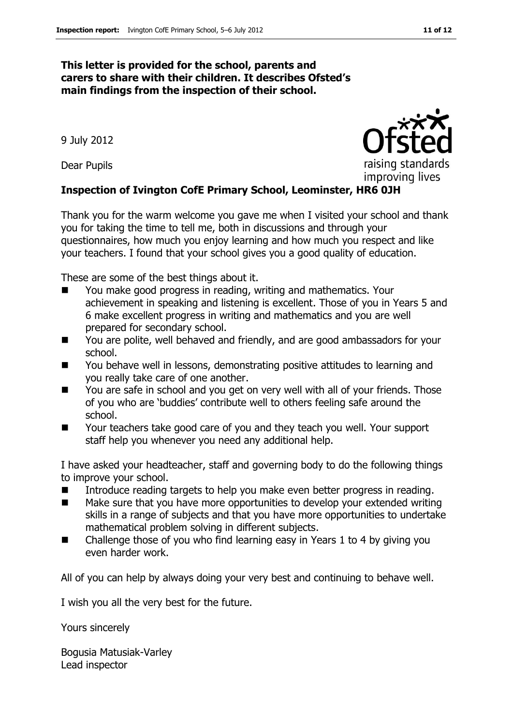#### **This letter is provided for the school, parents and carers to share with their children. It describes Ofsted's main findings from the inspection of their school.**

9 July 2012

Dear Pupils

#### **Inspection of Ivington CofE Primary School, Leominster, HR6 0JH**

Thank you for the warm welcome you gave me when I visited your school and thank you for taking the time to tell me, both in discussions and through your questionnaires, how much you enjoy learning and how much you respect and like your teachers. I found that your school gives you a good quality of education.

These are some of the best things about it.

- You make good progress in reading, writing and mathematics. Your achievement in speaking and listening is excellent. Those of you in Years 5 and 6 make excellent progress in writing and mathematics and you are well prepared for secondary school.
- You are polite, well behaved and friendly, and are good ambassadors for your school.
- You behave well in lessons, demonstrating positive attitudes to learning and you really take care of one another.
- You are safe in school and you get on very well with all of your friends. Those of you who are 'buddies' contribute well to others feeling safe around the school.
- Your teachers take good care of you and they teach you well. Your support staff help you whenever you need any additional help.

I have asked your headteacher, staff and governing body to do the following things to improve your school.

- Introduce reading targets to help you make even better progress in reading.
- Make sure that you have more opportunities to develop your extended writing skills in a range of subjects and that you have more opportunities to undertake mathematical problem solving in different subjects.
- Challenge those of you who find learning easy in Years 1 to 4 by giving you even harder work.

All of you can help by always doing your very best and continuing to behave well.

I wish you all the very best for the future.

Yours sincerely

Bogusia Matusiak-Varley Lead inspector